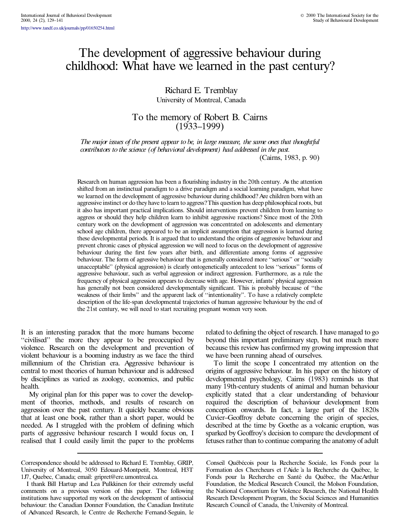# The development of aggressive behaviour during childhood: What have we learned in the past century?

Richard E. Tremblay University of Montreal, Canada

To the memory of Robert B. Cairns (1933–1999)

*The major issues of the present appear to be, in large measure, the same ones that thoughtful contributors to the science (of behavioral development) had addressed in the past.* (Cairns, 1983, p. 90)

Research on human aggression has been a flourishing industry in the 20th century. As the attention shifted from an instinctual paradigm to a drive paradigm and a social learning paradigm, what have we learned on the development of aggressive behaviour during childhood? Are children born with an aggressive instinct or do they have to learn to aggress? This question has deep philosophical roots, but it also has important practical implications. Should interventions prevent children from learning to aggress or should they help children learn to inhibit aggressive reactions? Since most of the 20th century work on the development of aggression was concentrated on adolescents and elementary school age children, there appeared to be an implicit assumption that aggression is learned during these developmental periods. It is argued that to understand the origins of aggressive behaviour and prevent chronic cases of physical aggression we will need to focus on the development of aggressive behaviour during the first few years after birth, and differentiate among forms of aggressive behaviour. The form of agressive behaviour that is generally considered more ''serious'' or ''socially unacceptable'' (physical aggression) is clearly ontogenetically antecedent to less ''serious'' forms of aggressive behaviour, such as verbal aggression or indirect aggression. Furthermore, as a rule the frequency of physical aggression appears to decrease with age. However, infants' physical aggression has generally not been considered developmentally significant. This is probably because of "the weakness of their limbs'' and the apparent lack of ''intentionality''. To have a relatively complete description of the life-span developmental trajectories of human aggressive behaviour by the end of the 21st century, we will need to start recruiting pregnant women very soon.

It is an interesting paradox that the more humans become ''civilised'' the more they appear to be preoccupied by violence. Research on the development and prevention of violent behaviour is a booming industry as we face the third millennium of the Christian era. Aggressive behaviour is central to most theories of human behaviour and is addressed by disciplines as varied as zoology, economics, and public health.

My original plan for this paper was to cover the development of theories, methods, and results of research on aggression over the past century. It quickly became obvious that at least one book, rather than a short paper, would be needed. As I struggled with the problem of defining which parts of aggressive behaviour research I would focus on, I realised that I could easily limit the paper to the problems

related to defining the object of research. I have managed to go beyond this important preliminary step, but not much more because this review has confirmed my growing impression that we have been running ahead of ourselves.

To limit the scope I concentrated my attention on the origins of aggressive behaviour. In his paper on the history of developmental psychology, Cairns (1983) reminds us that many 19th-century students of animal and human behaviour explicitly stated that a clear understanding of behaviour required the description of behaviour development from conception onwards. In fact, a large part of the 1820s Cuvier–Geoffroy debate concerning the origin of species, described at the time by Goethe as a volcanic eruption, was sparked by Geoffroy's decision to compare the development of fetuses rather than to continue comparing the anatomy of adult

Correspondence should be addressed to Richard E. Tremblay, GRIP, University of Montreal, 3050 Edouard-Montpetit, Montreal, H3T 1J7, Quebec, Canada; email: gripret@ere.umontreal.ca.

I thank Bill Hartup and Lea Pulkkinen for their extremely useful comments on a previous version of this paper. The following institutions have supported my work on the development of antisocial behaviour: the Canadian Donner Foundation, the Canadian Institute of Advanced Research, le Centre de Recherche Fernand-Seguin, le

Conseil Québécois pour la Recherche Sociale, les Fonds pour la Formation des Chercheurs et l'Aide à la Recherche du Québec, le Fonds pour la Recherche en Santé du Québec, the MacArthur Foundation, the Medical Research Council, the Molson Foundation, the National Consortium for Violence Research, the National Health Research Development Program, the Social Sciences and Humanities Research Council of Canada, the University of Montreal.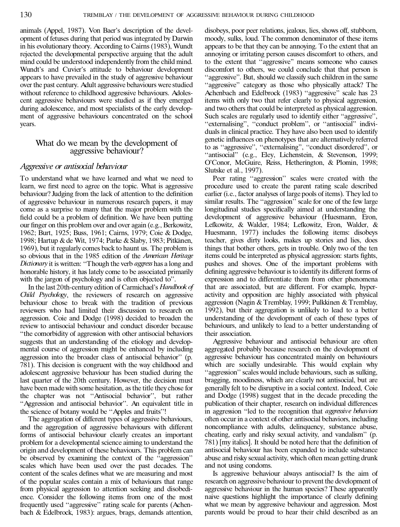animals (Appel, 1987). Von Baer's description of the development of fetuses during that period was integrated by Darwin in his evolutionary theory. According to Cairns(1983), Wundt rejected the developmental perspective arguing that the adult mind could be understood independently from the child mind. Wundt's and Cuvier's attitude to behaviour development appears to have prevailed in the study of aggressive behaviour over the past century. Adult aggressive behaviours were studied without reference to childhood aggressive behaviours. Adolescent aggressive behaviours were studied as if they emerged during adolescence, and most specialists of the early development of aggressive behaviours concentrated on the school years.

## What do we mean by the development of aggressive behaviour?

#### *Aggressive or antisocial behaviour*

To understand what we have learned and what we need to learn, we first need to agree on the topic. What is aggressive behaviour? Judging from the lack of attention to the definition of aggressive behaviour in numerous research papers, it may come as a surprise to many that the major problem with the field could be a problem of definition. We have been putting our finger on this problem over and over again (e.g., Berkowitz, 1962; Burt, 1925; Buss, 1961; Cairns, 1979; Coie & Dodge, 1998; Hartup & de Wit, 1974; Parke & Slaby, 1983; Pitkänen, 1969), but it regularly comes back to haunt us. The problem is so obvious that in the 1985 edition of the *American Heritage Dictionary* it is written: ''Though the verb *aggress* has a long and honorable history, it has lately come to be associated primarily with the jargon of psychology and is often objected to".

In the last 20th-century edition of Carmichael's *Handbookof Child Psychology*, the reviewers of research on aggressive behaviour chose to break with the tradition of previous reviewers who had limited their discussion to research on aggression. Coie and Dodge (1998) decided to broaden the review to antisocial behaviour and conduct disorder because ''the comorbidity of aggression with other antisocial behaviors suggests that an understanding of the etiology and developmental course of aggression might be enhanced by including aggression into the broader class of antisocial behavior'' (p. 781). This decision is congruent with the way childhood and adolescent aggressive behaviour has been studied during the last quarter of the 20th century. However, the decision must have been made with some hesitation, as the title they chose for the chapter was not ''Antisocial behavior'', but rather ''Aggression and antisocial behavior''. An equivalent title in the science of botany would be ''Apples and fruits''!

The aggregation of different types of aggressive behaviours, and the aggregation of aggressive behaviours with different forms of antisocial behaviour clearly creates an important problem for a developmental science aiming to understand the origin and development of these behaviours. This problem can be observed by examining the context of the ''aggression'' scales which have been used over the past decades. The content of the scales defines what we are measuring and most of the popular scales contain a mix of behaviours that range from physical aggression to attention seeking and disobedience. Consider the following items from one of the most frequently used ''aggressive'' rating scale for parents (Achenbach & Edelbrock, 1983): argues, brags, demands attention,

disobeys, poor peer relations, jealous, lies, shows off, stubborn, moody, sulks, loud. The common denominator of these items appears to be that they can be annoying. To the extent that an annoying or irritating person causes discomfort to others, and to the extent that ''aggressive'' means someone who causes discomfort to others, we could conclude that that person is ''aggressive''. But, should we classify such children in the same ''aggressive'' category as those who physically attack? The Achenbach and Edelbrock (1983) ''aggressive'' scale has 23 items with only two that refer clearly to physical aggression, and two others that could be interpreted as physical aggression. Such scales are regularly used to identify either ''aggressive'', "externalising", "conduct problem", or "antisocial" individuals in clinical practice. They have also been used to identify genetic influences on phenotypes that are alternatively referred to as ''aggressive'', ''externalising'', ''conduct disordered'', or ''antisocial'' (e.g., Eley, Lichenstein, & Stevenson, 1999; O'Conor, McGuire, Reiss, Hetherington, & Plomin, 1998; Slutske et al., 1997).

Peer rating ''aggression'' scales were created with the procedure used to create the parent rating scale described earlier (i.e., factor analyses of large pools of items). They led to similar results. The ''aggression'' scale for one of the few large longitudinal studies specifically aimed at understanding the development of aggressive behaviour (Huesmann, Eron, Lefkowitz, & Walder, 1984; Lefkowitz, Eron, Walder, & Huesmann, 1977) includes the following items: disobeys teacher, gives dirty looks, makes up stories and lies, does things that bother others, gets in trouble. Only two of the ten items could be interpreted as physical aggression: starts fights, pushes and shoves. One of the important problems with defining aggressive behaviour is to identify its different forms of expression and to differentiate them from other phenomena that are associated, but are different. For example, hyperactivity and opposition are highly associated with physical aggression (Nagin & Tremblay, 1999; Pulkkinen & Tremblay, 1992), but their aggregation is unlikely to lead to a better understanding of the development of each of these types of behaviours, and unlikely to lead to a better understanding of their association.

Aggressive behaviour and antisocial behaviour are often aggregated probably because research on the development of aggressive behaviour has concentrated mainly on behaviours which are socially undesirable. This would explain why ''aggression'' scales would include behaviours, such as sulking, bragging, moodiness, which are clearly not antisocial, but are generally felt to be disruptive in a social context. Indeed, Coie and Dodge (1998) suggest that in the decade preceding the publication of their chapter, research on individual differences in aggression ''led to the recognition that *aggressive behaviors* often occurin a context of other antisocial behaviors, including noncompliance with adults, delinquency, substance abuse, cheating, early and risky sexual activity, and vandalism'' (p. 781) [my italics]. It should be noted here that the definition of antisocial behaviour has been expanded to include substance abuse and risky sexual activity, which often mean getting drunk and not using condoms.

Is aggressive behaviour always antisocial? Is the aim of research on aggressive behaviour to prevent the development of aggressive behaviour in the human species? These apparently naive questions highlight the importance of clearly defining what we mean by aggressive behaviour and aggression. Most parents would be proud to hear their child described as an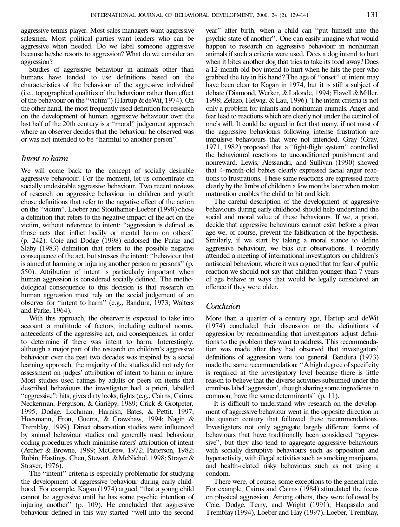aggressive tennis player. Most sales managers want aggressive salesmen. Most political parties want leaders who can be aggressive when needed. Do we label someone aggressive because he/she resorts to aggression?What do we consider an aggression?

Studies of aggressive behaviour in animals other than humans have tended to use definitions based on the characteristics of the behaviour of the aggressive individual (i.e., topographical qualities of the behaviour rather than effect of the behaviour on the "victim") (Hartup & deWit, 1974). On the other hand, the most frequently used definition for research on the development of human aggressive behaviour over the last half of the 20th century is a ''moral'' judgement approach where an observer decides that the behaviour he observed was or was not intended to be ''harmful to another person''.

## *Intent to harm*

We will come back to the concept of socially desirable aggressive behaviour. For the moment, let us concentrate on socially undesirable aggressive behaviour. Two recent reviews of research on aggressive behaviour in children and youth chose definitions that refer to the negative effect of the action on the ''victim''. Loeber and Stouthamer-Loeber(1998) chose a definition that refers to the negative impact of the act on the victim, without reference to intent: "aggression is defined as those acts that inflict bodily or mental harm on others" (p. 242). Coie and Dodge (1998) endorsed the Parke and Slaby (1983) definition that refers to the possible negative consequence of the act, but stresses the intent: ''behaviour that is aimed at harming or injuring another person or persons'' (p. 550). Attribution of intent is particularly important when human aggression is considered socially defined. The methodological consequence to this decision is that research on human aggression must rely on the social judgement of an observer for ''intent to harm'' (e.g., Bandura, 1973; Walters and Parke, 1964).

With this approach, the observer is expected to take into account a multitude of factors, including cultural norms, antecedents of the aggressive act, and consequences, in order to determine if there was intent to harm. Interestingly, although a major part of the research on children's aggressive behaviour over the past two decades was inspired by a social learning approach, the majority of the studies did not rely for assessment on judges' attribution of intent to harm or injure. Most studies used ratings by adults or peers on items that described behaviours the investigator had, a priori, labelled "aggressive": hits, gives dirty looks, fights (e.g., Cairns, Cairns, Neckerman, Ferguson, & Gariépy, 1989; Crick & Grotpeter, 1995; Dodge, Lochman, Harnish, Bates, & Pettit, 1997; Huesmann, Eron, Guerra, & Crawshaw, 1994; Nagin & Tremblay, 1999). Direct observation studies were influenced by animal behaviour studies and generally used behaviour coding procedures which minimise raters' attribution of intent (Archer & Browne, 1989; McGrew, 1972; Patterson, 1982; Rubin, Hastings, Chen, Stewart, & McNichol, 1998; Strayer & Strayer, 1976).

The ''intent'' criteria is especially problematic for studying the development of aggressive behaviour during early childhood. For example, Kagan (1974) argued "that a young child cannot be aggressive until he has some psychic intention of injuring another'' (p. 109). He concluded that aggressive behaviour defined in this way started "well into the second year'' after birth, when a child can ''put himself into the psychic state of another''. One can easily imagine what would happen to research on aggressive behaviour in nonhuman animals if such a criteria were used. Does a dog intend to hurt when it bites another dog that tries to take its food away?Does a 12-month-old boy intend to hurt when he hits the peer who grabbed the toy in his hand?The age of ''onset'' of intent may have been clear to Kagan in 1974, but it is still a subject of debate (Diamond, Werker, & Lalonde, 1994; Flavell & Miller, 1998; Zelazo, Helwig, &Lau, 1996). The intent criteria is not only a problem for infants and nonhuman animals. Anger and fearlead to reactions which are clearly not under the control of one's will. It could be argued in fact that many, if not most of the aggressive behaviours following intense frustration are impulsive behaviours that were not intended. Gray (Gray, 1971, 1982) proposed that a "fight-flight system" controlled the behavioural reactions to unconditioned punishment and nonreward. Lewis, Alessandri, and Sullivan (1990) showed that 4-month-old babies clearly expressed facial anger reactions to frustrations. These same reactions are expressed more clearly by the limbs of children a few months later when motor maturation enables the child to hit and kick.

The careful description of the development of aggressive behaviours during early childhood should help understand the social and moral value of these behaviours. If we, a priori, decide that aggressive behaviours cannot exist before a given age we, of course, prevent the falsification of the hypothesis. Similarly, if we start by taking a moral stance to define aggressive behaviour, we bias our observations. I recently attended a meeting of international investigators on children's antisocial behaviour, where it was argued that forfear of public reaction we should not say that children younger than 7 years of age behave in ways that would be legally considered an offence if they were older.

# *Conclusion*

More than a quarter of a century ago, Hartup and deWit (1974) concluded their discussion on the denitions of aggression by recommending that investigators adjust definitions to the problem they want to address. This recommendation was made after they had observed that investigators' definitions of aggression were too general. Bandura (1973) made the same recommendation: "A high degree of specificity is required at the investigatory level because there is little reason to believe that the diverse activities subsumed under the omnibus label 'aggression', though sharing some ingredients in common, have the same determinants'' (p. 11).

It is difficult to understand why research on the development of aggressive behaviour went in the opposite direction in the quarter century that followed these recommendations. Investigators not only aggregate largely different forms of behaviours that have traditionally been considered ''aggressive'', but they also tend to aggregate aggressive behaviours with socially disruptive behaviours such as opposition and hyperactivity, with illegal activities such as smoking marijuana, and health-related risky behaviours such as not using a condom.

There were, of course, some exceptions to the general rule. For example, Cairns and Cairns (1984) stimulated the focus on physical aggression. Among others, they were followed by Coie, Dodge, Terry, and Wright (1991), Haapasalo and Tremblay (1994), Loeber and Hay (1997), Loeber, Tremblay,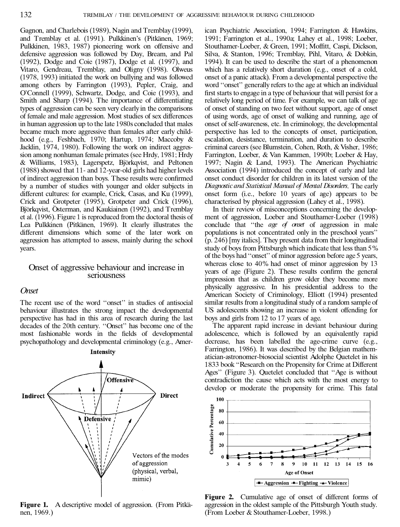Gagnon, and Charlebois (1989), Nagin and Tremblay (1999), and Tremblay et al. (1991). Pulkkinen's (Pitkänen, 1969; Pulkkinen, 1983, 1987) pioneering work on offensive and defensive aggression was followed by Day, Bream, and Pal (1992), Dodge and Coie (1987), Dodge et al. (1997), and Vitaro, Gendreau, Tremblay, and Oligny (1998). Olweus (1978, 1993) initiated the work on bullying and was followed among others by Farrington (1993), Pepler, Craig, and O'Connell (1999), Schwartz, Dodge, and Coie (1993), and Smith and Sharp (1994). The importance of differentiating types of aggression can be seen very clearly in the comparisons of female and male aggression. Most studies of sex differences in human aggression up to the late 1980s concluded that males became much more aggressive than females after early childhood (e.g., Feshbach, 1970; Hartup, 1974; Maccoby & Jacklin, 1974, 1980). Following the work on indirect aggression among nonhuman female primates (see Hrdy, 1981; Hrdy & Williams, 1983), Lagerspetz, Björkqvist, and Peltonen  $(1988)$  showed that 11- and 12-year-old girls had higher levels of indirect aggression than boys. These results were confirmed by a number of studies with younger and older subjects in different cultures: for example, Crick, Casas, and Ku (1999), Crick and Grotpeter (1995), Grotpeter and Crick (1996), Björkqvist, Österman, and Kaukiainen (1992), and Tremblay et al. (1996). Figure 1 isreproduced from the doctoral thesis of Lea Pulkkinen (Pitkänen, 1969). It clearly illustrates the different dimensions which some of the later work on aggression has attempted to assess, mainly during the school years.

## Onset of aggressive behaviour and increase in seriousness

#### *Onset*

The recent use of the word ''onset'' in studies of antisocial behaviour illustrates the strong impact the developmental perspective has had in this area of research during the last decades of the 20th century. ''Onset'' has become one of the most fashionable words in the fields of developmental psychopathology and developmental criminology (e.g., Amer-





**Figure 1.** A descriptive model of aggression. (From Pitkänen, 1969.)

ican Psychiatric Association, 1994; Farrington & Hawkins, 1991; Farrington et al., 1990a; Lahey et al., 1998; Loeber, Stouthamer-Loeber, & Green, 1991; Moffitt, Caspi, Dickson, Silva, & Stanton, 1996; Tremblay, Pihl, Vitaro, & Dobkin, 1994). It can be used to describe the start of a phenomenon which has a relatively short duration (e.g., onset of a cold, onset of a panic attack). From a developmental perspective the word ''onset'' generally refers to the age at which an individual first starts to engage in a type of behaviour that will persist for a relatively long period of time. For example, we can talk of age of onset of standing on two feet without support, age of onset of using words, age of onset of walking and running, age of onset of self-awareness, etc. In criminology, the developmental perspective has led to the concepts of onset, participation, escalation, desistance, termination, and duration to describe criminal careers (see Blumstein, Cohen, Roth, & Visher, 1986; Farrington, Loeber, & Van Kammen, 1990b; Loeber & Hay, 1997; Nagin & Land, 1993). The American Psychiatric Association (1994) introduced the concept of early and late onset conduct disorder for children in its latest version of the *Diagnostic and Statistical Manual of Mental Disorders*. The early onset form (i.e., before 10 years of age) appears to be characterised by physical aggression (Lahey et al., 1998).

In their review of misconceptions concerning the development of aggression, Loeber and Stouthamer-Loeber (1998) conclude that ''the *age of onset* of aggression in male populations is not concentrated only in the preschool years''  $(p. 246)$  [my italics]. They present data from their longitudinal study of boys from Pittsburgh which indicate that less than 5% of the boys had ''onset'' of minor aggression before age 5 years, whereas close to 40% had onset of minor aggression by 13 years of age (Figure 2). These results confirm the general impression that as children grow older they become more physically aggressive. In his presidential address to the American Society of Criminology, Elliott (1994) presented similar results from a longitudinal study of a random sample of US adolescents showing an increase in violent offending for boys and girls from 12 to 17 years of age.

The apparent rapid increase in deviant behaviour during adolescence, which is followed by an equivalently rapid decrease, has been labelled the age-crime curve (e.g., Farrington, 1986). It was described by the Belgian mathem atician-astronomer-biosocial scientist Adolphe Quetelet in his 1833 book ''Research on the Propensity for Crime at Different Ages'' (Figure 3). Quetelet concluded that ''Age is without contradiction the cause which acts with the most energy to develop or moderate the propensity for crime. This fatal



**Figure 2.** Cumulative age of onset of different forms of aggression in the oldest sample of the Pittsburgh Youth study. (From Loeber & Stouthamer-Loeber, 1998.)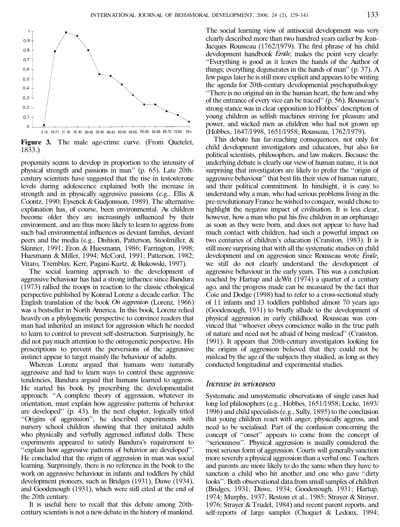

**Figure 3.** The male age-crime curve. (From Quetelet, 1833.)

propensity seems to develop in proportion to the intensity of physical strength and passions in man'' (p. 65). Late 20thcentury scientists have suggested that the rise in testosterone levels during adolescence explained both the increase in strength and in physically aggressive passions (e.g., Ellis & Coontz, 1990; Eysenck & Gudjonsson, 1989). The alternative explanation has, of course, been environmental. As children become older they are increasingly influenced by their environment, and are thus more likely to learn to aggress from such bad environmental influences as deviant families, deviant peers and the media (e.g., Dishion, Patterson, Stoolmiller, & Skinner, 1991; Eron & Huesmann, 1986; Farrington, 1998; Huesmann & Miller, 1994; McCord, 1991; Patterson, 1982; Vitaro, Tremblay, Kerr, Pagani-Kurtz, & Bukowski, 1997).

The social learning approach to the development of aggressive behaviour has had a strong influence since Bandura (1973) rallied the troops in reaction to the classic ethological perspective published by Konrad Lorenz a decade earlier. The English translation of the book *On aggression* (Lorenz, 1966) was a bestseller in North America. In this book, Lorenz relied heavily on a phylogenetic perspective to convince readers that man had inherited an instinct for aggression which he needed to learn to control to prevent self-destruction. Surprisingly, he did not pay much attention to the ontogenetic perspective. His prescriptions to prevent the perversions of the aggressive instinct appear to target mainly the behaviour of adults.

Whereas Lorenz argued that humans were naturally aggressive and had to learn ways to control these aggressive tendencies, Bandura argued that humans learned to aggress. He started his book by prescribing the developmentalist approach: ''A complete theory of aggression, whatever its orientation, must explain how aggressive patterns of behavior are developed'' (p. 43). In the next chapter, logically titled ''Origins of aggression'', he described experiments with nursery school children showing that they imitated adults who physically and verbally aggressed inflated dolls. These experiments appeared to satisfy Bandura's requirement to ''explain how aggressive patterns of behavior are developed''. He concluded that the origin of aggression in man was social learning. Surprisingly, there is no reference in the book to the work on aggressive behaviour in infants and toddlers by child development pioneers, such as Bridges (1931), Dawe (1934), and Goodenough (1931), which were still cited at the end of the 20th century.

It is useful here to recall that this debate among 20thcentury scientists is not a new debate in the history of mankind.

The social learning view of antisocial development was very clearly described more than two hundred years earlier by Jean-Jacques Rousseau (1762/1979). The first phrase of his child development handbook *Emile*, makes the point very clearly: ''Everything is good as it leaves the hands of the Author of things; everything degenerates in the hands of man'' (p. 37). A few pages later he is still more explicit and appears to be writing the agenda for 20th-century developmental psychopathology: "There is no original sin in the human heart, the how and why of the entrance of every vice can be traced'' (p. 56). Rousseau's strong stance was in clear opposition to Hobbes' description of young children as selfish machines striving for pleasure and power, and wicked men as children who had not grown up (Hobbes, 1647/1998, 1651/1958; Rousseau, 1762/1979).

This debate has far-reaching consequences, not only for child development investigators and educators, but also for political scientists, philosophers, and law makers. Because the underlying debate is clearly our viewof human nature, it is not surprising that investigators are likely to prefer the ''origin of aggressive behaviour" that best fits their view of human nature, and their political commitment. In hindsight, it is easy to understand why a man, who had serious problems living in the pre-revolutionaryFrance hewished to conquer, would chose to highlight the negative impact of civilisation. It is less clear, however, how a man who put his five children in an orphanage as soon as they were born, and does not appear to have had much contact with children, had such a powerful impact on two centuries of children's education (Cranston, 1983). It is still more surprising that with all the systematic studies on child development and on aggression since Rousseau wrote *Emile*, we still do not clearly understand the development of aggressive behaviour in the early years. This was a conclusion reached by Hartup and deWit (1974) a quarter of a century ago, and the progress made can be measured by the fact that Coie and Dodge (1998) had to refer to a cross-sectional study of 11 infants and 13 toddlers published almost 70 years ago (Goodenough, 1931) to briefly allude to the development of physical aggression in early childhood. Rousseau was convinced that ''whoever obeys conscience walks in the true path of nature and need not be afraid of being mislead'' (Cranston, 1991). It appears that 20th-century investigators looking for the origins of aggression believed that they could not be mislead by the age of the subjects they studied, as long as they conducted longitudinal and experimental studies.

#### *Increase in seriousness*

Systematic and unsystematic observations of single cases had long led philosophers (e.g., Hobbes, 1651/1958; Locke, 1693/ 1996) and child specialists (e.g., Sully, 1895) to the conclusion that young children react with anger, physically aggress, and need to be socialised. Part of the confusion concerning the concept of ''onset'' appears to come from the concept of ''seriousness''. Physical aggression is usually considered the most serious form of aggression. Courts will generally sanction more severely a physical aggression than a verbal one. Teachers and parents are more likely to do the same when they have to sanction a child who hit another and one who gave ''dirty looks". Both observational data from small samples of children (Bridges, 1931; Dawe, 1934; Goodenough, 1931; Hartup, 1974; Murphy, 1937; Restoin et al., 1985; Strayer & Strayer, 1976; Strayer & Trudel, 1984) and recent parent reports, and self-reports of large samples (Choquet & Ledoux, 1994;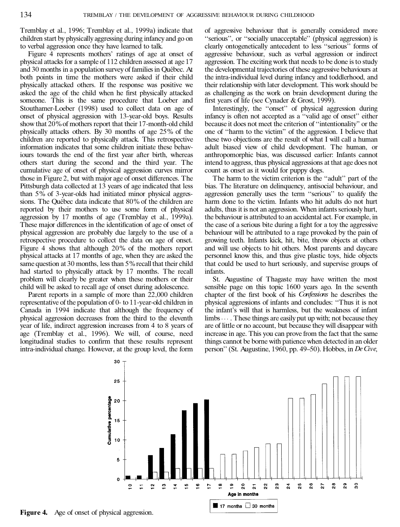Tremblay et al., 1996; Tremblay et al., 1999a) indicate that children start by physically aggressing during infancy and go on to verbal aggression once they have learned to talk.

Figure 4 represents mothers' ratings of age at onset of physical attacks for a sample of 112 children assessed at age 17 and 30 months in a population survey of families in Québec. At both points in time the mothers were asked if their child physically attacked others. If the response was positive we asked the age of the child when he first physically attacked someone. This is the same procedure that Loeber and Stouthamer-Loeber (1998) used to collect data on age of onset of physical aggression with 13-year-old boys. Results show that 20%of mothers report that their 17-month-old child physically attacks others. By 30 months of age 25% of the children are reported to physically attack. This retrospective information indicates that some children initiate these behaviours towards the end of the first year after birth, whereas others start during the second and the third year. The cumulative age of onset of physical aggression curves mirror those in Figure 2, but with major age of onset differences. The Pittsburgh data collected at 13 years of age indicated that less than 5% of 3-year-olds had initiated minor physical aggressions. The Québec data indicate that 80% of the children are reported by their mothers to use some form of physical aggression by 17 months of age (Tremblay et al., 1999a). These major differences in the identification of age of onset of physical aggression are probably due largely to the use of a retrospective procedure to collect the data on age of onset. Figure 4 shows that although 20% of the mothers report physical attacks at 17 months of age, when they are asked the same question at 30 months, less than 5% recall that their child had started to physically attack by 17 months. The recall problem will clearly be greater when these mothers or their child will be asked to recall age of onset during adolescence.

Parent reports in a sample of more than 22,000 children representative of the population of 0- to 11-year-old children in Canada in 1994 indicate that although the frequency of physical aggression decreases from the third to the eleventh year of life, indirect aggression increases from 4 to 8 years of age (Tremblay et al., 1996). We will, of course, need longitudinal studies to confirm that these results represent intra-individual change. However, at the group level, the form

30

of aggressive behaviour that is generally considered more "serious", or "socially unacceptable" (physical aggression) is clearly ontogenetically antecedent to less ''serious'' forms of aggressive behaviour, such as verbal aggression or indirect aggression. The exciting work that needs to be done is to study the developmental trajectories of these aggressivebehaviours at the intra-individual level during infancy and toddlerhood, and their relationship with later development. This work should be as challenging as the work on brain development during the first years of life (see Cynader  $&$  Grost, 1999).

Interestingly, the ''onset'' of physical aggression during infancy is often not accepted as a ''valid age of onset'' either because it does not meet the criterion of "intentionality" or the one of ''harm to the victim'' of the aggression. I believe that these two objections are the result of what I will call a human adult biased view of child development. The human, or anthropomorphic bias, was discussed earlier: Infants cannot intend to aggress, thus physical aggressions at that age does not count as onset as it would for puppy dogs.

The harm to the victim criterion is the ''adult'' part of the bias. The literature on delinquency, antisocial behaviour, and aggression generally uses the term ''serious'' to qualify the harm done to the victim. Infants who hit adults do not hurt adults, thus it is not an aggression. When infants seriously hurt, the behaviour is attributed to an accidental act. For example, in the case of a serious bite during a fight for a toy the aggressive behaviour will be attributed to a rage provoked by the pain of growing teeth. Infants kick, hit, bite, throw objects at others and will use objects to hit others. Most parents and daycare personnel know this, and thus give plastic toys, hide objects that could be used to hurt seriously, and supervise groups of infants.

St. Augustine of Thagaste may have written the most sensible page on this topic 1600 years ago. In the seventh chapter of the first book of his *Confessions* he describes the physical aggressions of infants and concludes: ''Thus it is not the infant's will that is harmless, but the weakness of infant  $limbs \dots$ . These things are easily put up with; not because they are of little or no account, but because they will disappear with increase in age. This you can prove from the fact that the same things cannot be borne with patience when detected in an older person'' (St. Augustine, 1960, pp. 49–50). Hobbes, in *DeCive*,



**Figure 4.** Age of onset of physical aggression.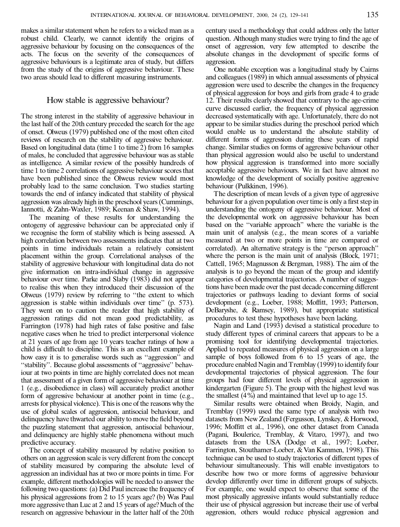makes a similar statement when he refers to a wicked man as a robust child. Clearly, we cannot identify the origins of aggressive behaviour by focusing on the consequences of the acts. The focus on the severity of the consequences of aggressive behaviours is a legitimate area of study, but differs from the study of the origins of aggressive behaviour. These two areas should lead to different measuring instruments.

# How stable is aggressive behaviour?

The strong interest in the stability of aggressive behaviour in the last half of the 20th century preceded the search forthe age of onset. Olweus (1979) published one of the most often cited reviews of research on the stability of aggressive behaviour. Based on longitudinal data (time 1 to time 2) from 16 samples of males, he concluded that aggressive behaviour was as stable as intelligence. A similar review of the possibly hundreds of time 1 to time 2 correlations of aggressive behaviour scores that have been published since the Olweus review would most probably lead to the same conclusion. Two studies starting towards the end of infancy indicated that stability of physical aggression was already high in the preschool years(Cummings, Iannotti, & Zahn-Waxler, 1989; Keenan & Shaw, 1994).

The meaning of these results for understanding the ontogeny of aggressive behaviour can be appreciated only if we recognise the form of stability which is being assessed. A high correlation between two assessments indicates that at two points in time individuals retain a relatively consistent placement within the group. Correlational analyses of the stability of aggressive behaviour with longitudinal data do not give information on intra-individual change in aggressive behaviour over time. Parke and Slaby (1983) did not appear to realise this when they introduced their discussion of the Olweus (1979) review by referring to ''the extent to which aggression is stable within individuals over time'' (p. 573). They went on to caution the reader that high stability of aggression ratings did not mean good predictability, as Farrington (1978) had high rates of false positive and false negative cases when he tried to predict interpersonal violence at 21 years of age from age 10 years teacher ratings of how a child is difficult to discipline. This is an excellent example of how easy it is to generalise words such as ''aggression'' and ''stability''. Because global assessments of ''aggressive'' behaviour at two points in time are highly correlated does not mean that assessment of a given form of aggressive behaviour at time 1 (e.g., disobedience in class) will accurately predict another form of aggressive behaviour at another point in time (e.g., arrests for physical violence). Thisis oneof the reasons why the use of global scales of aggression, antisocial behaviour, and delinquency have thwarted our ability to move the field beyond the puzzling statement that aggression, antisocial behaviour, and delinquency are highly stable phenomena without much predictive accuracy.

The concept of stability measured by relative position to others on an aggression scale is very different from the concept of stability measured by comparing the absolute level of aggression an individual has at two or more points in time. For example, different methodologies will be needed to answer the following two questions: (a) Did Paul increase the frequency of his physical aggressions from 2 to 15 years age? (b) Was Paul more aggressive than Luc at 2 and 15 years of age? Much of the research on aggressive behaviour in the latter half of the 20th

century used a methodology that could address only the latter question. Although many studies were trying to find the age of onset of aggression, very few attempted to describe the absolute changes in the development of specific forms of aggression.

One notable exception was a longitudinal study by Cairns and colleagues (1989) in which annual assessments of physical aggression were used to describe the changes in the frequency of physical aggression for boys and girls from grade 4 to grade 12. Their results clearly showed that contrary to the age-crime curve discussed earlier, the frequency of physical aggression decreased systematically with age. Unfortunately, there do not appear to be similar studies during the preschool period which would enable us to understand the absolute stability of different forms of aggression during these years of rapid change. Similar studies on forms of aggressive behaviour other than physical aggression would also be useful to understand how physical aggression is transformed into more socially acceptable aggressive behaviours. We in fact have almost no knowledge of the development of socially positive aggressive behaviour (Pulkkinen, 1996).

The description of mean levels of a given type of aggressive behaviour for a given population over time is only a first step in understanding the ontogeny of aggressive behaviour. Most of the developmental work on aggressive behaviour has been based on the ''variable approach'' where the variable is the main unit of analysis (e.g., the mean scores of a variable measured at two or more points in time are compared or correlated). An alternative strategy is the ''person approach'' where the person is the main unit of analysis (Block, 1971; Cattell, 1965; Magnusson & Bergman, 1988). The aim of the analysis is to go beyond the mean of the group and identify categories of developmental trajectories. Anumber of suggestions have been made over the past decade concerning different trajectories or pathways leading to deviant forms of social development (e.g., Loeber, 1988; Moffitt, 1993; Patterson, DeBaryshe, & Ramsey, 1989), but appropriate statistical procedures to test these hypotheses have been lacking.

Nagin and Land (1993) devised a statistical procedure to study different types of criminal careers that appears to be a promising tool for identifying developmental trajectories. Applied to repeated measures of physical aggression on a large sample of boys followed from 6 to 15 years of age, the procedure enabled Nagin and Tremblay (1999) to identify four developmental trajectories of physical aggression. The four groups had four different levels of physical aggression in kindergarten (Figure 5). The group with the highest level was the smallest (4%) and maintained that level up to age 15.

Similar results were obtained when Broidy, Nagin, and Tremblay (1999) used the same type of analysis with two datasets from New Zealand (Fergusson, Lynskey, & Horwood, 1996; Moffitt et al., 1996), one other dataset from Canada (Pagani, Boulerice, Tremblay, & Vitaro, 1997), and two datasets from the USA (Dodge et al., 1997; Loeber, Farrington, Stouthamer-Loeber, & Van Kammen, 1998). This technique can be used to study trajectories of different types of behaviour simultaneously. This will enable investigators to describe how two or more forms of aggressive behaviour develop differently over time in different groups of subjects. For example, one would expect to observe that some of the most physically aggressive infants would substantially reduce their use of physical aggression but increase their use of verbal aggression, others would reduce physical aggression and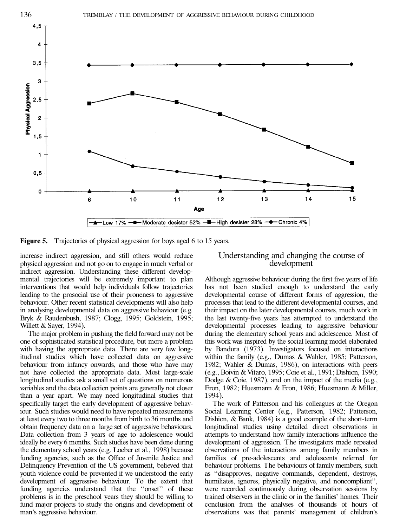

**Figure 5.** Trajectories of physical aggression for boys aged 6 to 15 years.

increase indirect aggression, and still others would reduce physical aggression and not go on to engage in much verbal or indirect aggression. Understanding these different developmental trajectories will be extremely important to plan interventions that would help individuals follow trajectories leading to the prosocial use of their proneness to aggressive behaviour. Other recent statistical developments will also help in analysing developmental data on aggressive behaviour (e.g. Bryk & Raudenbush, 1987; Clogg, 1995; Goldstein, 1995; Willett & Sayer, 1994).

The major problem in pushing the field forward may not be. one of sophisticated statistical procedure, but more a problem with having the appropriate data. There are very few longitudinal studies which have collected data on aggressive behaviour from infancy onwards, and those who have may not have collected the appropriate data. Most large-scale longitudinal studies ask a small set of questions on numerous variables and the data collection points are generally not closer than a year apart. We may need longitudinal studies that specifically target the early development of aggressive behaviour. Such studies would need to have repeated measurements at least every two to three months from birth to 36 months and obtain frequency data on a large set of aggressive behaviours. Data collection from 3 years of age to adolescence would ideally be every 6 months. Such studies have been done during the elementary school years (e.g. Loeber et al., 1998) because funding agencies, such as the Office of Juvenile Justice and Delinquency Prevention of the US government, believed that youth violence could be prevented if we understood the early development of aggressive behaviour. To the extent that funding agencies understand that the "onset" of these problems is in the preschool years they should be willing to fund major projects to study the origins and development of man's aggressive behaviour.

# Understanding and changing the course of development

Although aggressive behaviour during the first five years of life has not been studied enough to understand the early developmental course of different forms of aggression, the processes that lead to the different developmental courses, and their impact on the later developmental courses, much work in the last twenty-five years has attempted to understand the developmental processes leading to aggressive behaviour during the elementary school years and adolescence. Most of this work was inspired by the social learning model elaborated by Bandura (1973). Investigators focused on interactions within the family (e.g., Dumas & Wahler, 1985; Patterson, 1982; Wahler & Dumas, 1986), on interactions with peers (e.g., Boivin &Vitaro, 1995; Coie et al., 1991; Dishion, 1990; Dodge & Coie, 1987), and on the impact of the media (e.g., Eron, 1982; Huesmann & Eron, 1986; Huesmann & Miller, 1994).

The work of Patterson and his colleagues at the Oregon Social Learning Center (e.g., Patterson, 1982; Patterson, Dishion, & Bank, 1984) is a good example of the short-term longitudinal studies using detailed direct observations in attempts to understand how family interactions influence the development of aggression. The investigators made repeated observations of the interactions among family members in families of pre-adolescents and adolescents referred for behaviour problems. The behaviours of family members, such as ''disapproves, negative commands, dependent, destroys, humiliates, ignores, physically negative, and noncompliant", were recorded continuously during observation sessions by trained observers in the clinic or in the families' homes. Their conclusion from the analyses of thousands of hours of observations was that parents' management of children's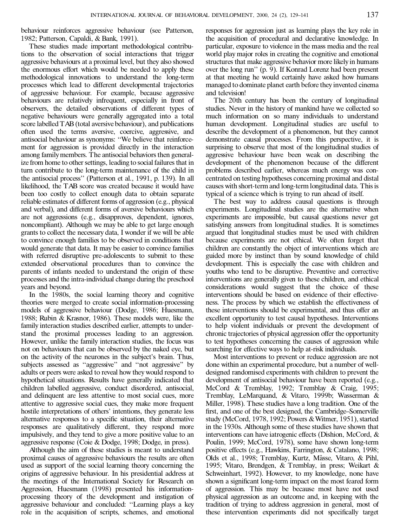behaviour reinforces aggressive behaviour (see Patterson, 1982; Patterson, Capaldi, & Bank, 1991).

These studies made important methodological contributions to the observation of social interactions that trigger aggressive behaviours at a proximal level, but they also showed the enormous effort which would be needed to apply these methodological innovations to understand the long-term processes which lead to different developmental trajectories of aggressive behaviour. For example, because aggressive behaviours are relatively infrequent, especially in front of observers, the detailed observations of different types of negative behaviours were generally aggregated into a total score labelled TAB (total aversive behaviour), and publications often used the terms aversive, coercive, aggressive, and antisocial behaviour as synonyms: ''We believe that reinforce ment for aggression is provided directly in the interaction among family members. The antisocial behaviors then generalize from home to other settings, leading to social failures that in turn contribute to the long-term maintenance of the child in the antisocial process'' (Patterson et al., 1991, p. 139). In all likelihood, the TAB score was created because it would have been too costly to collect enough data to obtain separate reliable estimates of different forms of aggression (e.g., physical and verbal), and different forms of aversive behaviours which are not aggressions (e.g., disapproves, dependent, ignores, noncompliant). Although we may be able to get large enough grants to collect the necessary data, I wonder if we will be able to convince enough families to be observed in conditions that would generate that data. It may be easier to convince families with referred disruptive pre-adolescents to submit to these extended observational procedures than to convince the parents of infants needed to understand the origin of these processes and the intra-individual change during the preschool years and beyond.

In the 1980s, the social learning theory and cognitive theories were merged to create social information-processing models of aggressive behaviour (Dodge, 1986; Huesmann, 1988; Rubin & Krasnor, 1986). These models were, like the family interaction studies described earlier, attempts to understand the proximal processes leading to an aggression. However, unlike the family interaction studies, the focus was not on behaviours that can be observed by the naked eye, but on the activity of the neurones in the subject's brain. Thus, subjects assessed as ''aggressive'' and ''not aggressive'' by adults or peers were asked to reveal how they would respond to hypothetical situations. Results have generally indicated that children labelled aggressive, conduct disordered, antisocial, and delinquent are less attentive to most social cues, more attentive to aggressive social cues, they make more frequent hostile interpretations of others' intentions, they generate less alternative responses to a specific situation, their alternative responses are qualitatively different, they respond more impulsively, and they tend to give a more positive value to an aggressive response (Coie & Dodge, 1998; Dodge, in press).

Although the aim of these studies is meant to understand proximal causes of aggressive behaviours the results are often used as support of the social learning theory concerning the origins of aggressive behaviour. In his presidential address at the meetings of the International Society for Research on Aggression, Huesmann (1998) presented his informationprocessing theory of the development and instigation of aggressive behaviour and concluded: ''Learning plays a key role in the acquisition of scripts, schemes, and emotional responses for aggression just as learning plays the key role in the acquisition of procedural and declarative knowledge. In particular, exposure to violence in the mass media and the real world play major roles in creating the cognitive and emotional structures that make aggressive behavior more likely in humans over the long run'' (p. 9). If Konrad Lorenz had been present at that meeting he would certainly have asked how humans managed to dominate planet earth before they invented cinema and television!

The 20th century has been the century of longitudinal studies. Never in the history of mankind have we collected so much information on so many individuals to understand human development. Longitudinal studies are useful to describe the development of a phenomenon, but they cannot demonstrate causal processes. From this perspective, it is surprising to observe that most of the longitudinal studies of aggressive behaviour have been weak on describing the development of the phenomenon because of the different problems described earlier, whereas much energy was concentrated on testing hypotheses concerning proximal and distal causes with short-term and long-term longitudinal data. This is typical of a science which is trying to run ahead of itself.

The best way to address causal questions is through experiments. Longitudinal studies are the alternative when experiments are impossible, but causal questions never get satisfying answers from longitudinal studies. It is sometimes argued that longitudinal studies must be used with children because experiments are not ethical. We often forget that children are constantly the object of interventions which are guided more by instinct than by sound knowledge of child development. This is especially the case with children and youths who tend to be disruptive. Preventive and corrective interventions are generally given to these children, and ethical considerations would suggest that the choice of these interventions should be based on evidence of their effective ness. The process by which we establish the effectiveness of these interventions should be experimental, and thus offer an excellent opportunity to test causal hypotheses. Interventions to help violent individuals or prevent the development of chronic trajectories of physical aggression offer the opportunity to test hypotheses concerning the causes of aggression while searching for effective ways to help at-risk individuals.

Most interventions to prevent or reduce aggression are not done within an experimental procedure, but a number of welldesigned randomised experiments with children to prevent the development of antisocial behaviour have been reported (e.g., McCord & Tremblay, 1992; Tremblay & Craig, 1995; Tremblay, LeMarquand, & Vitaro, 1999b; Wasserman & Miller, 1998). These studies have a long tradition. One of the first, and one of the best designed, the Cambridge–Somerville study (McCord, 1978, 1992; Powers & Witmer, 1951), started in the 1930s. Although some of these studies have shown that interventions can have iatrogenic effects (Dishion, McCord, & Poulin, 1999; McCord, 1978), some have shown long-term positive effects (e.g., Hawkins, Farrington, & Catalano, 1998; Olds et al., 1998; Tremblay, Kurtz, Mâsse, Vitaro, & Pihl, 1995; Vitaro, Brendgen, & Tremblay, in press; Weikart & Schweinhart, 1992). However, to my knowledge, none have shown a significant long-term impact on the most feared form of aggression. This may be because most have not used physical aggression as an outcome and, in keeping with the tradition of trying to address aggression in general, most of these intervention experiments did not specifically target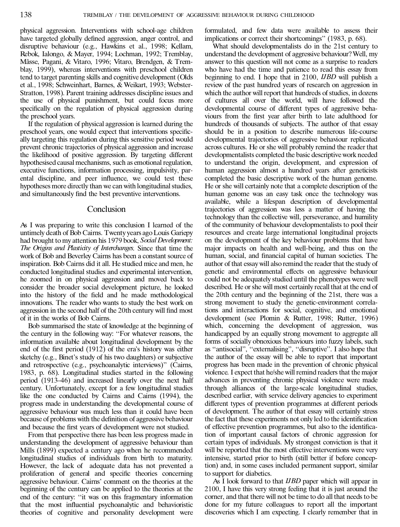physical aggression. Interventions with school-age children have targeted globally defined aggression, anger control, and disruptive behaviour (e.g., Hawkins et al., 1998; Kellam, Rebok, Ialongo, & Mayer, 1994; Lochman, 1992; Tremblay, Mâsse, Pagani, & Vitaro, 1996; Vitaro, Brendgen, & Tremblay, 1999), whereas interventions with preschool children tend to target parenting skills and cognitive development (Olds et al., 1998; Schweinhart, Barnes, & Weikart, 1993; Webster-Stratton, 1998). Parent training addresses discipline issues and the use of physical punishment, but could focus more specifically on the regulation of physical aggression during the preschool years.

If the regulation of physical aggression is learned during the preschool years, one would expect that interventions specifically targeting this regulation during this sensitive period would prevent chronic trajectories of physical aggression and increase the likelihood of positive aggression. By targeting different hypothesised causal mechanisms, such as emotional regulation, executive functions, information processing, impulsivity, parental discipline, and peer influence, we could test these hypotheses more directly than we can with longitudinal studies, and simultaneously find the best preventive interventions.

#### **Conclusion**

As I was preparing to write this conclusion I learned of the untimely death of Bob Cairns. Twenty years agoLouis Gariepy had brought to my attention his 1979 book, *Social Development*: *The Origins and Plasticity of Interchanges*. Since that time the work of Bob and Beverley Cairns has been a constant source of inspiration. Bob Cairns did it all. He studied mice and men, he conducted longitudinal studies and experimental intervention, he zoomed in on physical aggression and moved back to consider the broader social development picture, he looked into the history of the field and he made methodological innovations. The reader who wants to study the best work on aggression in the second half of the 20th century will find most of it in the works of Bob Cairns.

Bob summarised the state of knowledge at the beginning of the century in the following way: ''For whatever reasons, the information available about longitudinal development by the end of the first period  $(1912)$  of the era's history was either sketchy (e.g., Binet's study of his two daughters) or subjective and retrospective (e.g., psychoanalytic interviews)'' (Cairns, 1983, p. 68). Longitudinal studies started in the following period (1913–46) and increased linearly over the next half century. Unfortunately, except for a few longitudinal studies like the one conducted by Cairns and Cairns (1994), the progress made in understanding the developmental course of aggressive behaviour was much less than it could have been because of problems with the definition of aggressive behaviour and because the first years of development were not studied.

From that perspective there has been less progress made in understanding the development of aggressive behaviour than Mills (1899) expected a century ago when he recommended longitudinal studies of individuals from birth to maturity. However, the lack of adequate data has not prevented a proliferation of general and specific theories concerning aggressive behaviour. Cairns' comment on the theories at the beginning of the century can be applied to the theories at the end of the century: ''it was on this fragmentary information that the most influential psychoanalytic and behavioristic theories of cognitive and personality development were formulated, and few data were available to assess their implications or correct their shortcomings'' (1983, p. 68).

What should developmentalists do in the 21st century to understand the development of aggressivebehaviour?Well, my answer to this question will not come as a surprise to readers who have had the time and patience to read this essay from beginning to end. I hope that in 2100, *IJBD* will publish a review of the past hundred years of research on aggression in which the author will report that hundreds of studies, in dozens of cultures all over the world, will have followed the developmental course of different types of aggressive behaviours from the first year after birth to late adulthood for hundreds of thousands of subjects. The author of that essay should be in a position to describe numerous life-course developmental trajectories of aggressive behaviour replicated across cultures. He or she will probably remind the reader that developmentalists completed the basic descriptive work needed to understand the origin, development, and expression of human aggression almost a hundred years after geneticists completed the basic descriptive work of the human genome. He or she will certainly note that a complete description of the human genome was an easy task once the technology was available, while a lifespan description of developmental trajectories of aggression was less a matter of having the technology than the collective will, perseverance, and humility of the community of behaviour developmentalists to pool their resources and create large international longitudinal projects on the development of the key behaviour problems that have major impacts on health and well-being, and thus on the human, social, and financial capital of human societies. The author of that essay will also remind the reader that the study of genetic and environmental effects on aggressive behaviour could not be adequately studied until the phenotypes were well described. He or she will most certainly recall that at the end of the 20th century and the beginning of the 21st, there was a strong movement to study the genetic-environment correlations and interactions for social, cognitive, and emotional development (see Plomin & Rutter, 1998; Rutter, 1996) which, concerning the development of aggression, was handicapped by an equally strong movement to aggregate all forms of socially obnoxious behaviours into fuzzy labels, such as ''antisocial'', ''externalising'', ''disruptive''. I also hope that the author of the essay will be able to report that important progress has been made in the prevention of chronic physical violence. I expect that he/she will remind readers that the major advances in preventing chronic physical violence were made through alliances of the large-scale longitudinal studies, described earlier, with service delivery agencies to experiment different types of prevention programmes at different periods of development. The author of that essay will certainly stress the fact that these experiments not only led to the identification of effective prevention programmes, but also to the identication of important causal factors of chronic aggression for certain types of individuals. My strongest conviction is that it will be reported that the most effective interventions were very intensive, started prior to birth (still better if before conception) and, in some cases included permanent support, similar to support for diabetics.

As I look forward to that *IJBD* paper which will appear in 2100, I have this very strong feeling that it is just around the corner, and that there will not be time to do all that needs to be done for my future colleagues to report all the important discoveries which I am expecting. I clearly remember that in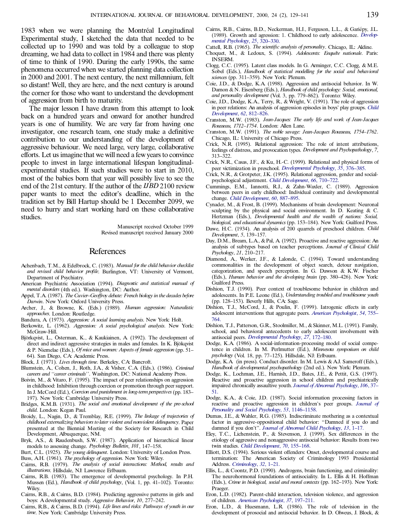1983 when we were planning the Montréal Longitudinal Experimental study, I sketched the data that needed to be collected up to 1990 and was told by a colleague to stop dreaming, we had data to collect in 1984 and there was plenty of time to think of 1990. During the early 1990s, the same phenomena occurred when we started planning data collection in 2000 and 2001. The next century, the next millennium, felt so distant! Well, they are here, and the next century is around the corner for those who want to understand the development of aggression from birth to maturity.

The major lesson I have drawn from this attempt to look back on a hundred years and onward for another hundred years is one of humility. We are very far from having one investigator, one research team, one study make a definitive contribution to our understanding of the development of aggressive behaviour. We need large, very large, collaborative efforts. Let us imagine that we will need a few years to convince people to invest in large international lifespan longitudinalexperimental studies. If such studies were to start in 2010, most of the babies born that year will possibly live to see the end of the 21st century. If the author of the *IJBD* 2100 review paper wants to meet the editor's deadline, which in the tradition set by Bill Hartup should be 1 December 2099, we need to hurry and start working hard on these collaborative studies.

> Manuscript received October 1999 Revised manuscript received January 2000

#### References

- Achenbach, T.M., &Edelbrock, C. (1983). *Manual forthe child behavior checklist* and revised child behavior profile. Burlington, VT: University of Vermont, Department of Psychiatry.
- American Psychiatric Association (1994). *Diagnostic and statistical manual of mental disorders* (4th ed.). Washington, DC: Author.
- Appel, T.A. (1987). *The Cuvier–Geoffroy debate: French biology in the decades before Darwin*. New York: Oxford University Press.
- Archer, J., & Browne, K. (Eds.) (1989). *Human aggression: Naturalistic approaches*. London: Routledge.
- Bandura, A. (1973). *Aggression: A social learning analysis*. New York: Holt.
- Berkowitz, L. (1962). *Aggression: A social psychological analysis*. New York: McGraw-Hill.
- Björkqvist, L., Österman, K., & Kaukiainen, A. (1992). The development of direct and indirect aggressive strategies in males and females. In K. Bjökqvist &P. Niemelae (Eds.), *Of mice and women: Aspects of female aggression* (pp. 51– 64). San Diego, CA: Academic Press.
- Block, J. (1971). *Lives through time*. Berkeley, CA: Bancroft.
- Blumstein, A., Cohen, J., Roth, J.A., & Visher, C.A. (Eds.). (1986). *Criminal careers and ''career criminals''*. Washington, DC: National Academy Press.
- Boivin, M., & Vitaro, F. (1995). The impact of peer relationships on aggression in childhood: Inhibition through coercion or promotion through peersupport. In J. McCord (Ed.), *Coercion and punishment in long-termperspectives*(pp. 183– 197). New York: Cambridge University Press.
- Bridges, K.M.B. (1931). *The social and emotional development of the pre-school child*. London: Kegan Paul.
- Broidy, L., Nagin, D., & Tremblay, R.E. (1999). *The linkage of trajectories of childhood externalizing behaviorstolater violent and nonviolent delinquency*. Paper presented at the Biennial Meeting of the Society for Research in Child Development, Albuquerque, NM.
- Bryk, A.S., & Raudenbush, S.W. (1987). Application of hierarchical linear models to assessing change. *Psychology Bulletin*, *101*, 147–158.
- Burt, C.L. (1925). *The young delinquent*. London: University of London Press.
- Buss, A.H. (1961). *The psychology of aggression*. New York: Wiley.
- Cairns, R.B. (1979). *The analysis of social interactions: Method, results and illustrations*. Hillsdale, NJ: Lawrence Erlbaum.
- Cairns, R.B. (1983). The emergence of developmental psychology. In P.H. Mussen (Ed.), *Handbook of child psychology*, (Vol. 1, pp. 41–102). Toronto: Wiley.
- Cairns, R.B., & Cairns, B.D. (1984). Predicting aggressive patterns in girls and boys: Adevelopmental study. *Aggressive Behavior*, *10*, 277–242.
- Cairns, R.B., &Cairns, B.D. (1994). *Life lines and risks: Pathways of youth in our time*. New York: Cambridge University Press.
- Cairns, R.B., Cairns, B.D., Neckerman, H.J., Ferguson, L.L., & Gariépy, J.L. (1989). Growth and agression: 1. Childhood to early adolescence. *[Develop](http://www.ingentaselect.com/rpsv/cgi-bin/linker?ext=a&reqidx=/0012-1649^28^2925L.320[aid=46963]) mental [Psychology](http://www.ingentaselect.com/rpsv/cgi-bin/linker?ext=a&reqidx=/0012-1649^28^2925L.320[aid=46963])*, *25*, 320–330.
- Cattell, R.B. (1965). *The scientic analysis of personality*. Chicago, IL: Aldine.
- Choquet, M., & Ledoux, S. (1994). *Adolescents: Enqueˆte nationale*. Paris: INSERM.
- Clogg, C.C. (1995). Latent class models. In G. Arminger, C.C. Clogg, & M.E. Sobel (Eds.), *Handbook of statistical modelling for the social and behavioral sciences* (pp. 311–359). New York: Plenum.
- Coie, J.D., & Dodge, K.A. (1998). Aggression and antisocial behavior. In W. Damon &N. Eisenberg (Eds.), *Handbook of child psychology: Social, emotional, and personality development* (Vol. 3, pp. 779–862). Toronto: Wiley.
- Coie, J.D., Dodge, K.A., Terry, R., & Wright, V. (1991). The role of aggression in peer relations: An analysis of aggression episodes in boys' play groups. *[Child](http://www.ingentaselect.com/rpsv/cgi-bin/linker?ext=a&reqidx=/0009-3920^28^2962L.812[aid=301418,csa=0009-3920^26vol=62^26iss=4^26firstpage=812,nlm=1935345]) [Development](http://www.ingentaselect.com/rpsv/cgi-bin/linker?ext=a&reqidx=/0009-3920^28^2962L.812[aid=301418,csa=0009-3920^26vol=62^26iss=4^26firstpage=812,nlm=1935345])*, *62*, 812–826.
- Cranston, M.W. (1983). *Jean-Jacques: The early life and work of Jean-Jacques Rousseau, 1712–1754*. London: Allen Lane.
- Cranston, M.W. (1991). *The noble savage: Jean-Jacques Rousseau, 1754–1762*. Chicago, IL: University of Chicago Press.
- Crick, N.R. (1995). Relational aggression: The role of intent attributions, feelings of distress, and provocation types. *Development andPsychopathology*, *7*, 313–322.
- Crick, N.R., Casas, J.F., & Ku, H.-C. (1999). Relational and physical forms of peer victimization in preschool. *[Developmental](http://www.ingentaselect.com/rpsv/cgi-bin/linker?ext=a&reqidx=/0012-1649^28^2935L.376[aid=301420,csa=0012-1649^26vol=35^26iss=2^26firstpage=376,nlm=10082008]) Psychology*, *35*, 376–385.
- Crick, N.R., &Grotpeter, J.K. (1995). Relational aggression, gender and socialpsychological adjustment. *Child [Development](http://www.ingentaselect.com/rpsv/cgi-bin/linker?ext=a&reqidx=/0009-3920^28^2966L.710[aid=17985,csa=0009-3920^26vol=66^26iss=3^26firstpage=710,nlm=7789197])*, *66*, 710–722.
- Cummings, E.M., Iannotti, R.J., & Zahn-Waxler, C. (1989). Aggression between peers in early childhood: Individual continuity and developmental change. *Child [Development](http://www.ingentaselect.com/rpsv/cgi-bin/linker?ext=a&reqidx=/0009-3920^28^2960L.887[aid=301421,nlm=2758884])*, *60*, 887–895.
- Cynader, M., & Frost, B. (1999). Mechanisms of brain development: Neuronal sculpting by the physical and social environment. In D. Keating & C. Hertzman (Eds.), *Developmental health and the wealth of nations: Social, biological, and educational dynamics*(pp. 153–184). New York: Guilford Press.
- Dawe, H.C. (1934). An analysis of 200 quarrels of preschool children. *Child Development*, *5*, 139–157.
- Day, D.M., Bream, L.A., & Pal, A. (1992). Proactive and reactive aggression: An analysis of subtypes based on teacher perceptions. *Journal of Clinical Child Psychology*, *21*, 210–217.
- Diamond, A., Werker, J.F., & Lalonde, C. (1994). Toward understanding commonalities in the development of object search, detour navigation, categorization, and speech perception. In G. Dawson & K.W. Fischer (Eds.), *Human behavior and the developing brain* (pp. 380–426). New York: Guilford Press.
- Dishion, T.J. (1990). Peer context of troublesome behavior in children and adolescents. In P.E. Leone (Ed.), *Understanding troubled and troublesome youth* (pp. 128–153). Beverly Hills, CA: Sage.
- Dishion, T.J., McCord, J., & Poulin, F. (1999). Iatrogenic effects in early adolescent interventions that aggregate peers. *American [Psychologist](http://www.ingentaselect.com/rpsv/cgi-bin/linker?ext=a&reqidx=/0003-066X^28^2954L.755[aid=301424,csa=0003-066X^26vol=54^26iss=9^26firstpage=755])*, *54*, 755– [764.](http://www.ingentaselect.com/rpsv/cgi-bin/linker?ext=a&reqidx=/0003-066X^28^2954L.755[aid=301424,csa=0003-066X^26vol=54^26iss=9^26firstpage=755])
- Dishion, T.J., Patterson, G.R., Stoolmiller, M., & Skinner, M.L. (1991). Family, school, and behavioral antecedents to early adolescent involvement with antisocial peers. *[Developmental](http://www.ingentaselect.com/rpsv/cgi-bin/linker?ext=a&reqidx=/0012-1649^28^2927L.172[aid=301182]) Psychology*, *27*, 172–180.
- Dodge, K.A. (1986). A social-information-processing model of social competence in children. In M. Perlmutter (Ed.), *Minnesota symposium on child psychology* (Vol. 18, pp. 77–125). Hillsdale, NJ: Erlbaum.
- Dodge, K.A. (in press). Conduct disorder. In M. Lewis & A.J. Sameroff (Eds.), *Handbook of developmental psychopathology* (2nd ed.). New York: Plenum.
- Dodge, K., Lochman, J.E., Harnish, J.D., Bates, J.E., & Pettit, G.S. (1997). Reactive and proactive aggression in school children and psychiatrically impaired chronically assaultive youth. *Journal of Abnormal Psychology*, 106, 37– [51](http://www.ingentaselect.com/rpsv/cgi-bin/linker?ext=a&reqidx=/0021-843X^28^29106L.37[aid=300654,csa=0021-843X^26vol=106^26iss=1^26firstpage=37]).
- Dodge, K.A., & Coie, J.D. (1987). Social information processing factors in reactive and proactive aggression in children's peer groups. *[Journal](http://www.ingentaselect.com/rpsv/cgi-bin/linker?ext=a&reqidx=/0022-3514^28^2953L.1146[aid=25266,nlm=3694454]) of Personality and Social Psychology*, *53*, [1146–1158.](http://www.ingentaselect.com/rpsv/cgi-bin/linker?ext=a&reqidx=/0022-3514^28^2953L.1146[aid=25266,nlm=3694454])
- Dumas, J.E., & Wahler, R.G. (1985). Indiscriminate mothering as a contextual factor in aggressive-oppositional child behavior: ''Damned if you do and damned if you don't''. *Journal of Abnormal Child [Psychology](http://www.ingentaselect.com/rpsv/cgi-bin/linker?ext=a&reqidx=/0091-0627^28^2913L.1[aid=301425,nlm=3973245])*, *13*, 1–17.
- Eley, T.C., Lichenstein, P., & Stevenson, J. (1999). Sex differences in the etiology of aggressive and nonaggressive antisocial behavior: Results from two twin studies. *Child [Development](http://www.ingentaselect.com/rpsv/cgi-bin/linker?ext=a&reqidx=/0009-3920^28^2970L.155[aid=301426,csa=0009-3920^26vol=70^26iss=1^26firstpage=155,nlm=10191520])*, *70*, 155–168.
- Elliott, D.S. (1994). Serious violent offenders: Onset, developmental course and termination: The American Society of Criminology 1993 Presidential Address. *[Criminology](http://www.ingentaselect.com/rpsv/cgi-bin/linker?ext=a&reqidx=/0011-1384^28^2932L.1[aid=301095,csa=0011-1384^26vol=32^26iss=1^26firstpage=1])*, *32*, 1–21.
- Ellis, L., & Coontz, P.D. (1990). Androgens, brain functioning, and criminality: The neurohormonal foundations of antisociality. In L. Ellis & H. Hoffman (Eds.), *Crime in biological, social and moral contexts* (pp. 162–193). New York: Praeger.
- Eron, L.D. (1982). Parent-child interaction, television violence, and aggression of children. *American [Psychologist](http://www.ingentaselect.com/rpsv/cgi-bin/linker?ext=a&reqidx=/0003-066X^28^2937L.197[aid=19885])*, *37*, 197–211.
- Eron, L.D., & Huesmann, L.R. (1986). The role of television in the development of prosocial and antisocial behavior. In D. Olweus, J. Block, &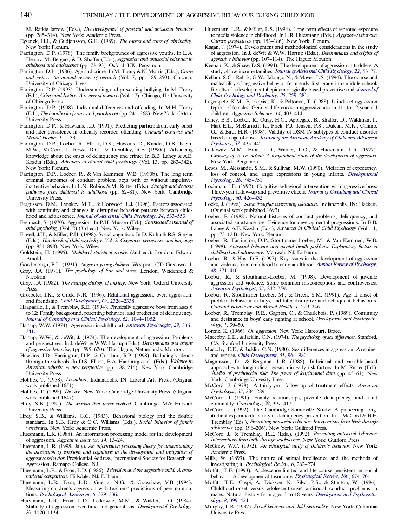M. Ratkie-Iarrow (Eds.), *The development of prosocial and antisocial behavior* (pp. 285–314). New York: Academic Press.

Eysenck, H.J., & Gudjonsson, G.H. (1989). *The causes and cures of criminality*. New York: Plenum.

- Farrington, D.P. (1978). The family backgrounds of aggressive youths. In L.A. Hersov, M. Bergers, & D. Shaffer (Eds.), *Aggression and antisocial behavior in childhood and adolescence* (pp. 73–93). Oxford, UK: Pergamon.
- Farrington, D.P. (1986). Age and crime. In M. Tonry &N. Morris (Eds.), *Crime and justice: An annual review ofresearch* (Vol. 7, pp. 189–250). Chicago: University of Chicago Press.
- Farrington, D.P. (1993). Understanding and preventing bullying. In M. Tonry (Ed.), *Crime and Justice: A review ofresearch* (Vol. 17). Chicago, IL: University of Chicago Press.
- Farrington, D.P. (1998). Individual differences and offending. In M.H. Tonry (Ed.), *The handbook of crime and punishment* (pp. 241–268). New York: Oxford University Press.
- Farrington, D.P., & Hawkins, J.D. (1991). Predicting participation, early onset and later persistence in officially recorded offending. *Criminal Behavior and Mental Health*, *1*, 1–33.
- Farrington, D.P., Loeber, R., Elliott, D.S., Hawkins, D., Kandel, D.B., Klein, M.W., McCord, J., Rowe, D.C., & Tremblay, R.E. (1990a). Advancing knowledge about the onset of delinquency and crime. In B.B. Lahey & A.E. Kazdin (Eds.), *Advances in clinical child psychology* (Vol. 13, pp. 283–342). New York: Plenum.
- Farrington, D.P., Loeber, R., & Van Kammen, W.B. (1990b). The long term criminal outcomes of conduct problem boys with or without impulsiveinattentive behavior. In L.N. Robins & M. Rutter (Eds.), *Straight and devious pathways from childhood to adulthood* (pp. 62–81). New York: Cambridge University Press.
- Fergusson, D.M., Lynskey, M.T., & Horwood, L.J. (1996). Factors associated with continuity and changes in disruptive behavior patterns between childhood and adolescence. *Journal of Abnormal Child [Psychology](http://www.ingentaselect.com/rpsv/cgi-bin/linker?ext=a&reqidx=/0091-0627^28^2924L.533[aid=301427,csa=0091-0627^26vol=24^26iss=5^26firstpage=533,nlm=8956083])*, *24*, 533–553.
- Feshbach, S. (1970). Aggression. In P.H. Mussen (Ed.), *Carmichael's manual of child psychology* (Vol. 2) (3rd ed.). New York: Wiley.
- Flavell, J.H., & Miller, P.H. (1998). Social cognition. In D. Kuhn & R.S. Siegler (Eds.), *Handbook of child psychology: Vol. 2. Cognition, perception, and language* (pp. 851–898). New York: Wiley.
- Goldstein, H. (1995). *Multilevel statistical models* (2nd ed.). London: Edward Arnold.
- Goodenough, F.L. (1931). *Anger in young children*. Westport, CT: Greenwood.
- Gray, J.A. (1971). *The psychology of fear and stress*. London. Weidenfeld & Nicolson.
- Gray, J.A. (1982). *The neuropsychology of anxiety*. New York: Oxford University Press.
- Grotpeter, J.K., & Crick, N.R. (1996). Relational aggression, overt aggression, and friendship. *Child [Development](http://www.ingentaselect.com/rpsv/cgi-bin/linker?ext=a&reqidx=/0009-3920^28^2967L.2328[aid=300662,csa=0009-3920^26vol=67^26iss=5^26firstpage=2328,nlm=9022244])*, *67*, 2328–2338.
- Haapasalo, J.,  $\&$  Tremblay, R.E. (1994). Physically aggressive boys from ages 6 to 12: Family background, parenting behavior, and prediction of delinquency. *Journal of Consulting and Clinical Psychology*, *62*, [1044–1052.](http://www.ingentaselect.com/rpsv/cgi-bin/linker?ext=a&reqidx=/0022-006X^28^2962L.1044[aid=301428,csa=0022-006X^26vol=62^26iss=5^26firstpage=1044])
- Hartup, W.W. (1974). Aggression in childhood. *American [Psychologist](http://www.ingentaselect.com/rpsv/cgi-bin/linker?ext=a&reqidx=/0003-066X^28^2929L.336[aid=301429])*, *29*, 336– [341.](http://www.ingentaselect.com/rpsv/cgi-bin/linker?ext=a&reqidx=/0003-066X^28^2929L.336[aid=301429])
- Hartup, W.W., & deWit, J. (1974). The development of aggression: Problems and perspectives. In J. deWit & W.W. Hartup (Eds.), *Determinants and origins of aggressive behavior*, (pp. 595–620). The Hague, Netherlands: Mouton.
- Hawkins, J.D., Farrington, D.P., & Catalano, R.P. (1998). Reducing violence through the schools. In D.S. Elliott, B.A. Hamburg et al. (Eds.), *Violence in American schools: A new perspective* (pp. 188–216). New York: Cambridge University Press.
- Hobbes, T. (1958). *Leviathan*. Indianapolis, IN: Liberal Arts Press. (Original work published 1651).
- Hobbes, T. (1998). *De cive*. New York: Cambridge University Press. (Original work published 1647).
- Hrdy, S.B. (1981). *The woman that never evolved*. Cambridge, MA: Harvard University Press.
- Hrdy, S.B., & Williams, G.C. (1983). Behavioral biology and the double standard. In S.B. Hrdy & G.C. Williams (Eds.), *Social behavior of female vertebrates*. New York: Academic Press.
- Huesmann, L.R. (1988). An information processing model for the development of aggression. *Aggressive Behavior*, *14*, 13–24.
- Huesmann, L.R. (1998, July). *An information processing theory for understanding the interaction of emotions and cognitions in the development and instigation of aggressive behavior*. Presidential Address, International Society for Research on Aggression. Ramapo College, NJ.
- Huesmann, L.R., &Eron, L.D. (1986). *Television and the aggressive child: Across national comparison*. Hillsdale, NJ: Erlbaum.
- Huesmann, L.R., Eron, L.D., Guerra, N.G., & Crawshaw, V.B (1994). Measuring children's aggression with teachers' predictions of peer nominations. *[Psychological](http://www.ingentaselect.com/rpsv/cgi-bin/linker?ext=a&reqidx=/1040-3590^28^296L.329[aid=301431]) Assessment*, *6*, 329–336.
- Huesmann, L.R., Eron, L.D., Lefkowitz, M.M., & Walder, L.O. (1984). Stability of aggression over time and generations. *Developmental Psychology*, *20*, 1120–1134.
- Huesmann, L.R., & Miller, L.S. (1994). Long-term effects of repeated exposure to media violence in childhood. In L.R. Huesmann (Eds.), *Aggressive behavior: Current perspectives* (pp. 153–186). New York: Plenum.
- Kagan, J. (1974). Development and methodological considerations in the study of aggression. In J.deWit & W.W. Hartup (Eds.), *Determinants and origins of aggressive behavior* (pp. 107–114). The Hague: Mouton.
- Keenan, K., & Shaw, D.S. (1994). The development of aggression in toddlers. A study of low-income families. *Journal of Abnormal Child Psychology*, 22, 53–77.
- Kellam, S.G., Rebok, G.W., Ialongo, N., & Mayer, L.S. (1994). The course and malleability of aggressive behavior from early first grade into middle school: Results of a developmental epidemiologically-based preventive trial. *[Journal](http://www.ingentaselect.com/rpsv/cgi-bin/linker?ext=a&reqidx=/0021-9630^28^2935L.259[aid=301433,nlm=8188798]) of Child [Psychology](http://www.ingentaselect.com/rpsv/cgi-bin/linker?ext=a&reqidx=/0021-9630^28^2935L.259[aid=301433,nlm=8188798]) and Psychiatry*, *35*, 259–281.
- Lagerspetz, K.M., Björkqvist, K., & Peltonen, T. (1988). Is indirect aggression typical of females: Gender differences in aggressiveness in 11- to 12-year-old children. *Aggressive Behavior*, *14*, 403–414.
- Lahey, B.B., Loeber, R., Quay, H.C., Applegate, B., Shaffer, D., Waldman, I., Hart E.L., McBurnett, K., Frick, P.J., Jensen, P.S., Dulcan, M.K., Canino, G., & Bird, H.R. (1998). Validity of DSM-IV subtypes of conduct disorder based on age of onset. *Journal of the American Academy of Child and [Adolescent](http://www.ingentaselect.com/rpsv/cgi-bin/linker?ext=a&reqidx=/0890-8567^28^2937L.435[aid=301434,csa=0890-8567^26vol=37^26iss=4^26firstpage=435,nlm=9549965]) [Psychiatry](http://www.ingentaselect.com/rpsv/cgi-bin/linker?ext=a&reqidx=/0890-8567^28^2937L.435[aid=301434,csa=0890-8567^26vol=37^26iss=4^26firstpage=435,nlm=9549965])*, *37*, 435–442.
- Lefkowitz, M.M., Eron, L.D., Walder, L.O., & Huesmann, L.R. (1977). *Growing up to be violent: A longitudinal study of the development of aggression*. New York: Pergamon.
- Lewis, M., Alessandri, S.M., & Sullivan, M.W. (1990). Violation of expectancy, loss of control, and anger expressions in young infants. *[Developmental](http://www.ingentaselect.com/rpsv/cgi-bin/linker?ext=a&reqidx=/0012-1649^28^2926L.745[aid=294579]) [Psychology](http://www.ingentaselect.com/rpsv/cgi-bin/linker?ext=a&reqidx=/0012-1649^28^2926L.745[aid=294579])*, *26*, 745–751.
- Lochman, J.E. (1992). Cognitive-behavioral intervention with aggressive boys: Three-year follow-up and preventive effects. *Journal of [Consulting](http://www.ingentaselect.com/rpsv/cgi-bin/linker?ext=a&reqidx=/0022-006X^28^2960L.426[aid=301435,csa=0022-006X^26vol=60^26iss=3^26firstpage=426]) and Clinical [Psychology](http://www.ingentaselect.com/rpsv/cgi-bin/linker?ext=a&reqidx=/0022-006X^28^2960L.426[aid=301435,csa=0022-006X^26vol=60^26iss=3^26firstpage=426])*, *60*, 426–432.
- Locke, J. (1996). *Some thoughts concerning education*. Indianapolis, IN: Hackett. (Original work published 1693).
- Loeber, R. (1988). Natural histories of conduct problems, delinquency, and associated substance use: Evidence for developmental progressions. In B.B. Lahey & A.E. Kazdin (Eds.), *Advances in Clinical Child Psychology* (Vol. 11, pp. 73–124). New York: Plenum.
- Loeber, R., Farrington, D.P., Stouthamer-Loeber, M., & Van Kammen, W.B. (1998). *Antisocial behavior and mental health problems: Explanatory factors in childhood and adolescence*. Mahwah, NJ: Erlbaum.
- Loeber, R., & Hay, D.F. (1997). Key issues in the development of aggression and violence from childhood to early adulthood. *Annual Review of [Psychology](http://www.ingentaselect.com/rpsv/cgi-bin/linker?ext=a&reqidx=/0066-4308^28^2948L.371[aid=46974,csa=0066-4308^26vol=48^26iss=^26firstpage=371,nlm=9046564])*, *48*, [371–410.](http://www.ingentaselect.com/rpsv/cgi-bin/linker?ext=a&reqidx=/0066-4308^28^2948L.371[aid=46974,csa=0066-4308^26vol=48^26iss=^26firstpage=371,nlm=9046564])
- Loeber, R., & Stouthamer-Loeber, M. (1998). Development of juvenile aggression and violence. Some common misconceptions and controversies. *American [Psychologist](http://www.ingentaselect.com/rpsv/cgi-bin/linker?ext=a&reqidx=/0003-066X^28^2953L.242[aid=301436,csa=0003-066X^26vol=53^26iss=2^26firstpage=242])*, *53*, 242–259.
- Loeber, R., Stouthamer-Loeber, M., & Green, S.M. (1991). Age at onset of problem behaviour in boys, and later disruptive and delinquent behaviours. *Criminal Behaviour and Mental Health*. *1*, 229–246.
- Loeber, R., Tremblay, R.E., Gagnon, C., & Charlebois, P. (1989). Continuity and desistance in boys' early fighting at school. *Development and Psychopathology*, *1*, 39–50.
- Lorenz, K. (1966). *On aggression*. New York: Harcourt, Brace.
- Maccoby, E.E., & Jacklin, C.N. (1974). *The psychology of sex differences*. Stanford, CA: Stanford University Press.
- Maccoby, E.E., & Jacklin, C.N. (1980). Sex differences in aggression: A rejoiner and reprise. *Child [Development](http://www.ingentaselect.com/rpsv/cgi-bin/linker?ext=a&reqidx=/0009-3920^28^2951L.964[aid=87180,nlm=7471931])*, *51*, 964–980.
- Magnusson, D., & Bergman, L.R. (1988). Individual and variable-based approaches to longitudinal research in early risk factors. In M. Rutter (Ed.), *Studies of psychosocial risk: The power of longitudinal data* (pp. 45–61). New York: Cambridge Univesity Press.
- McCord, J. (1978). A thirty-year follow-up of treatment effects. *American Psychologist*, *33*, 284–289.
- McCord, J. (1991). Family relationships, juvenile delinquency, and adult criminality. *Criminology*, *29*, 397–417.
- McCord, J. (1992). The Cambridge–Somerville Study: A pioneering longitudinal experimental study of delinquency prevention. In J.McCord & R.E. Tremblay (Eds.), *Preventing antisocial behavior: Interventions from birth through adolescence* (pp. 196–206). New York: Guilford Press.
- McCord, J., & Tremblay, R.E. (Eds.). (1992). *Preventing antisocial behavior: Interventions from birth through adolescence*. New York: Guilford Press.
- McGrew, W.C. (1972). *An ethological study of children's behavior*. New York: Academic Press.
- Mills, W. (1899). The nature of animal intelligence and the methods of investigating it. *Psychological Review*, *6*, 262–274.
- Moftt, T.E. (1993). Adolescence-limited and life-course persistent antisocial behavior: Adevelopmental taxonomy. *[Psychological](http://www.ingentaselect.com/rpsv/cgi-bin/linker?ext=a&reqidx=/0033-295X^28^29100L.674[aid=26127,csa=0033-295X^26vol=100^26iss=4^26firstpage=674]) Review*, *100*, 674–701.
- Moffitt, T.E., Caspi, A., Dickson, N., Silva, P.S., & Stanton, W. (1996). Childhood-onset versus adolescent-onset antisocial conduct problems in males: Natural history from ages 3 to 18 years. *[Development](http://www.ingentaselect.com/rpsv/cgi-bin/linker?ext=a&reqidx=/0954-5794^28^298L.399[aid=301440]) and Psychopath ology*, *8*, [399–424.](http://www.ingentaselect.com/rpsv/cgi-bin/linker?ext=a&reqidx=/0954-5794^28^298L.399[aid=301440])
- Murphy, L.B. (1937). *Social behavior and child personality*. New York: Columbia University Press.